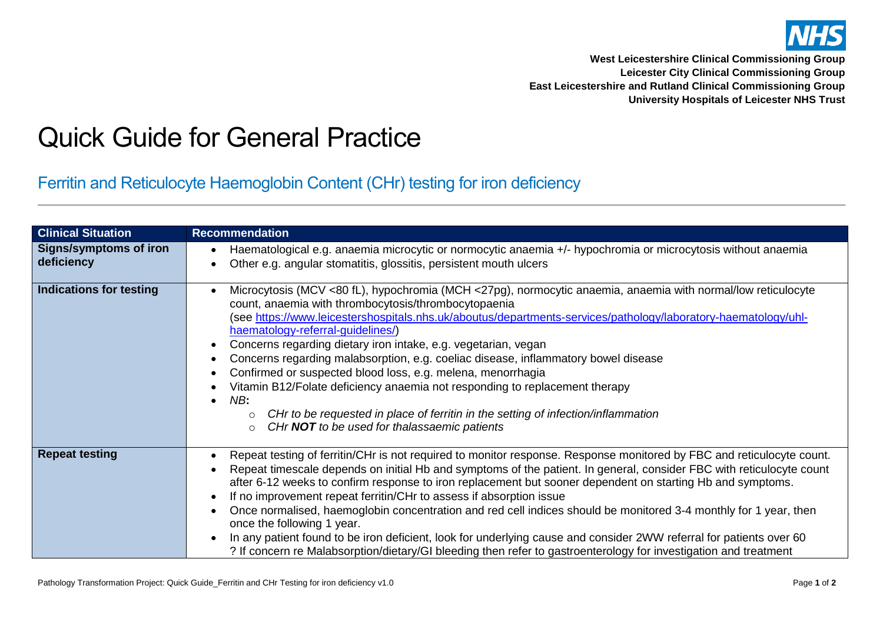

**West Leicestershire Clinical Commissioning Group Leicester City Clinical Commissioning Group East Leicestershire and Rutland Clinical Commissioning Group University Hospitals of Leicester NHS Trust**

## Quick Guide for General Practice

Ferritin and Reticulocyte Haemoglobin Content (CHr) testing for iron deficiency

| <b>Clinical Situation</b>                   | <b>Recommendation</b>                                                                                                                                                                                                                                                                                                                                                                                                                                                                                                                                                                                                                                                                                                                                                                                                                                          |  |  |
|---------------------------------------------|----------------------------------------------------------------------------------------------------------------------------------------------------------------------------------------------------------------------------------------------------------------------------------------------------------------------------------------------------------------------------------------------------------------------------------------------------------------------------------------------------------------------------------------------------------------------------------------------------------------------------------------------------------------------------------------------------------------------------------------------------------------------------------------------------------------------------------------------------------------|--|--|
| <b>Signs/symptoms of iron</b><br>deficiency | Haematological e.g. anaemia microcytic or normocytic anaemia +/- hypochromia or microcytosis without anaemia<br>Other e.g. angular stomatitis, glossitis, persistent mouth ulcers                                                                                                                                                                                                                                                                                                                                                                                                                                                                                                                                                                                                                                                                              |  |  |
| <b>Indications for testing</b>              | Microcytosis (MCV <80 fL), hypochromia (MCH <27pg), normocytic anaemia, anaemia with normal/low reticulocyte<br>count, anaemia with thrombocytosis/thrombocytopaenia<br>(see https://www.leicestershospitals.nhs.uk/aboutus/departments-services/pathology/laboratory-haematology/uhl-<br>haematology-referral-guidelines/)<br>Concerns regarding dietary iron intake, e.g. vegetarian, vegan<br>٠<br>Concerns regarding malabsorption, e.g. coeliac disease, inflammatory bowel disease<br>Confirmed or suspected blood loss, e.g. melena, menorrhagia<br>Vitamin B12/Folate deficiency anaemia not responding to replacement therapy<br>NB:<br>CHr to be requested in place of ferritin in the setting of infection/inflammation<br>CHr NOT to be used for thalassaemic patients<br>$\circ$                                                                  |  |  |
| <b>Repeat testing</b>                       | Repeat testing of ferritin/CHr is not required to monitor response. Response monitored by FBC and reticulocyte count.<br>٠<br>Repeat timescale depends on initial Hb and symptoms of the patient. In general, consider FBC with reticulocyte count<br>after 6-12 weeks to confirm response to iron replacement but sooner dependent on starting Hb and symptoms.<br>If no improvement repeat ferritin/CHr to assess if absorption issue<br>$\bullet$<br>Once normalised, haemoglobin concentration and red cell indices should be monitored 3-4 monthly for 1 year, then<br>once the following 1 year.<br>In any patient found to be iron deficient, look for underlying cause and consider 2WW referral for patients over 60<br>$\bullet$<br>? If concern re Malabsorption/dietary/GI bleeding then refer to gastroenterology for investigation and treatment |  |  |